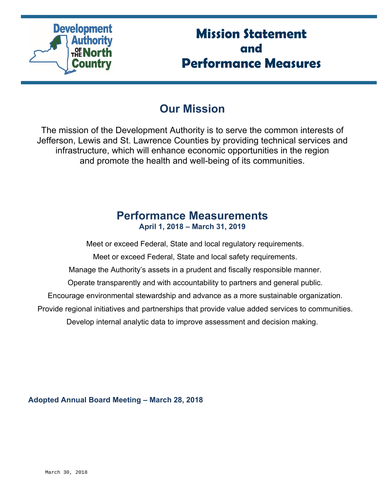

# **Mission Statement and Performance Measures**

## **Our Mission**

The mission of the Development Authority is to serve the common interests of Jefferson, Lewis and St. Lawrence Counties by providing technical services and infrastructure, which will enhance economic opportunities in the region and promote the health and well-being of its communities.

### **Performance Measurements April 1, 2018 – March 31, 2019**

Meet or exceed Federal, State and local regulatory requirements.

Meet or exceed Federal, State and local safety requirements.

Manage the Authority's assets in a prudent and fiscally responsible manner.

Operate transparently and with accountability to partners and general public.

Encourage environmental stewardship and advance as a more sustainable organization.

Provide regional initiatives and partnerships that provide value added services to communities.

Develop internal analytic data to improve assessment and decision making.

**Adopted Annual Board Meeting – March 28, 2018**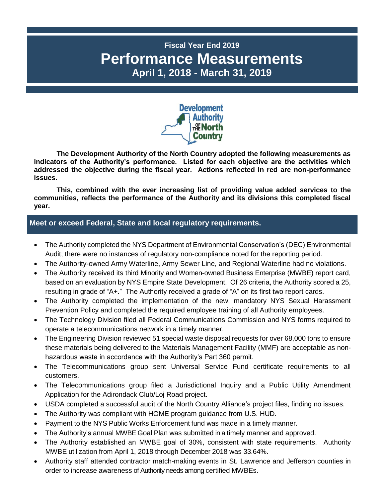### **Fiscal Year End 2019 Performance Measurements April 1, 2018 - March 31, 2019**



**The Development Authority of the North Country adopted the following measurements as indicators of the Authority's performance. Listed for each objective are the activities which addressed the objective during the fiscal year. Actions reflected in red are non-performance issues.**

**This, combined with the ever increasing list of providing value added services to the communities, reflects the performance of the Authority and its divisions this completed fiscal year.**

#### **P Meet or exceed Federal, State and local regulatory requirements.**

- The Authority completed the NYS Department of Environmental Conservation's (DEC) Environmental Audit; there were no instances of regulatory non-compliance noted for the reporting period.
- The Authority-owned Army Waterline, Army Sewer Line, and Regional Waterline had no violations.
- The Authority received its third Minority and Women-owned Business Enterprise (MWBE) report card, based on an evaluation by NYS Empire State Development. Of 26 criteria, the Authority scored a 25, resulting in grade of "A+." The Authority received a grade of "A" on its first two report cards.
- The Authority completed the implementation of the new, mandatory NYS Sexual Harassment Prevention Policy and completed the required employee training of all Authority employees.
- The Technology Division filed all Federal Communications Commission and NYS forms required to operate a telecommunications network in a timely manner.
- The Engineering Division reviewed 51 special waste disposal requests for over 68,000 tons to ensure these materials being delivered to the Materials Management Facility (MMF) are acceptable as nonhazardous waste in accordance with the Authority's Part 360 permit.
- The Telecommunications group sent Universal Service Fund certificate requirements to all customers.
- The Telecommunications group filed a Jurisdictional Inquiry and a Public Utility Amendment Application for the Adirondack Club/Loj Road project.
- USDA completed a successful audit of the North Country Alliance's project files, finding no issues.
- The Authority was compliant with HOME program guidance from U.S. HUD.
- Payment to the NYS Public Works Enforcement fund was made in a timely manner.
- The Authority's annual MWBE Goal Plan was submitted in a timely manner and approved.
- The Authority established an MWBE goal of 30%, consistent with state requirements. Authority MWBE utilization from April 1, 2018 through December 2018 was 33.64%.
- Authority staff attended contractor match-making events in St. Lawrence and Jefferson counties in order to increase awareness of Authority needs among certified MWBEs.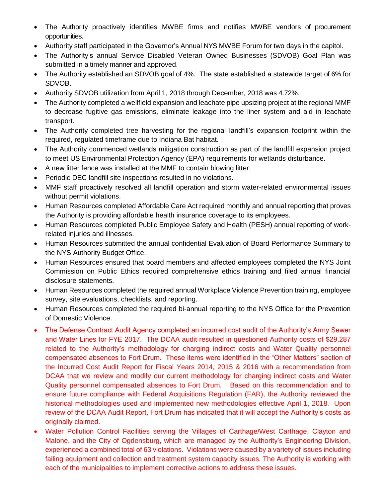- The Authority proactively identifies MWBE firms and notifies MWBE vendors of procurement opportunities.
- Authority staff participated in the Governor's Annual NYS MWBE Forum for two days in the capitol.
- The Authority's annual Service Disabled Veteran Owned Businesses (SDVOB) Goal Plan was submitted in a timely manner and approved.
- The Authority established an SDVOB goal of 4%. The state established a statewide target of 6% for SDVOB.
- Authority SDVOB utilization from April 1, 2018 through December, 2018 was 4.72%.
- The Authority completed a wellfield expansion and leachate pipe upsizing project at the regional MMF to decrease fugitive gas emissions, eliminate leakage into the liner system and aid in leachate transport.
- The Authority completed tree harvesting for the regional landfill's expansion footprint within the required, regulated timeframe due to Indiana Bat habitat.
- The Authority commenced wetlands mitigation construction as part of the landfill expansion project to meet US Environmental Protection Agency (EPA) requirements for wetlands disturbance.
- A new litter fence was installed at the MMF to contain blowing litter.
- Periodic DEC landfill site inspections resulted in no violations.
- MMF staff proactively resolved all landfill operation and storm water-related environmental issues without permit violations.
- Human Resources completed Affordable Care Act required monthly and annual reporting that proves the Authority is providing affordable health insurance coverage to its employees.
- Human Resources completed Public Employee Safety and Health (PESH) annual reporting of workrelated injuries and illnesses.
- Human Resources submitted the annual confidential Evaluation of Board Performance Summary to the NYS Authority Budget Office.
- Human Resources ensured that board members and affected employees completed the NYS Joint Commission on Public Ethics required comprehensive ethics training and filed annual financial disclosure statements.
- Human Resources completed the required annual Workplace Violence Prevention training, employee survey, site evaluations, checklists, and reporting.
- Human Resources completed the required bi-annual reporting to the NYS Office for the Prevention of Domestic Violence.
- The Defense Contract Audit Agency completed an incurred cost audit of the Authority's Army Sewer and Water Lines for FYE 2017. The DCAA audit resulted in questioned Authority costs of \$29,287 related to the Authority's methodology for charging indirect costs and Water Quality personnel compensated absences to Fort Drum. These items were identified in the "Other Matters" section of the Incurred Cost Audit Report for Fiscal Years 2014, 2015 & 2016 with a recommendation from DCAA that we review and modify our current methodology for charging indirect costs and Water Quality personnel compensated absences to Fort Drum. Based on this recommendation and to ensure future compliance with Federal Acquisitions Regulation (FAR), the Authority reviewed the historical methodologies used and implemented new methodologies effective April 1, 2018. Upon review of the DCAA Audit Report, Fort Drum has indicated that it will accept the Authority's costs as originally claimed.
- Water Pollution Control Facilities serving the Villages of Carthage/West Carthage, Clayton and Malone, and the City of Ogdensburg, which are managed by the Authority's Engineering Division, experienced a combined total of 63 violations. Violations were caused by a variety of issues including failing equipment and collection and treatment system capacity issues. The Authority is working with each of the municipalities to implement corrective actions to address these issues.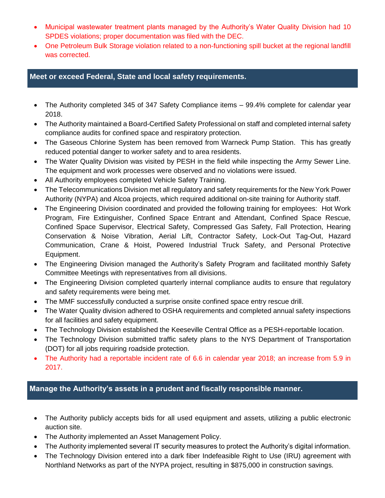- Municipal wastewater treatment plants managed by the Authority's Water Quality Division had 10 SPDES violations; proper documentation was filed with the DEC.
- One Petroleum Bulk Storage violation related to a non-functioning spill bucket at the regional landfill was corrected.

#### **Meet or exceed Federal, State and local safety requirements.**

- The Authority completed 345 of 347 Safety Compliance items 99.4% complete for calendar year 2018.
- The Authority maintained a Board-Certified Safety Professional on staff and completed internal safety compliance audits for confined space and respiratory protection.
- The Gaseous Chlorine System has been removed from Warneck Pump Station. This has greatly reduced potential danger to worker safety and to area residents.
- The Water Quality Division was visited by PESH in the field while inspecting the Army Sewer Line. The equipment and work processes were observed and no violations were issued.
- All Authority employees completed Vehicle Safety Training.
- The Telecommunications Division met all regulatory and safety requirements for the New York Power Authority (NYPA) and Alcoa projects, which required additional on-site training for Authority staff.
- The Engineering Division coordinated and provided the following training for employees: Hot Work Program, Fire Extinguisher, Confined Space Entrant and Attendant, Confined Space Rescue, Confined Space Supervisor, Electrical Safety, Compressed Gas Safety, Fall Protection, Hearing Conservation & Noise Vibration, Aerial Lift, Contractor Safety, Lock-Out Tag-Out, Hazard Communication, Crane & Hoist, Powered Industrial Truck Safety, and Personal Protective Equipment.
- The Engineering Division managed the Authority's Safety Program and facilitated monthly Safety Committee Meetings with representatives from all divisions.
- The Engineering Division completed quarterly internal compliance audits to ensure that regulatory and safety requirements were being met.
- The MMF successfully conducted a surprise onsite confined space entry rescue drill.
- The Water Quality division adhered to OSHA requirements and completed annual safety inspections for all facilities and safety equipment.
- The Technology Division established the Keeseville Central Office as a PESH-reportable location.
- The Technology Division submitted traffic safety plans to the NYS Department of Transportation (DOT) for all jobs requiring roadside protection.
- The Authority had a reportable incident rate of 6.6 in calendar year 2018; an increase from 5.9 in 2017.

#### Manage the Authority's assets in a prudent and fiscally responsible manner.

- The Authority publicly accepts bids for all used equipment and assets, utilizing a public electronic auction site.
- The Authority implemented an Asset Management Policy.
- The Authority implemented several IT security measures to protect the Authority's digital information.
- The Technology Division entered into a dark fiber Indefeasible Right to Use (IRU) agreement with Northland Networks as part of the NYPA project, resulting in \$875,000 in construction savings.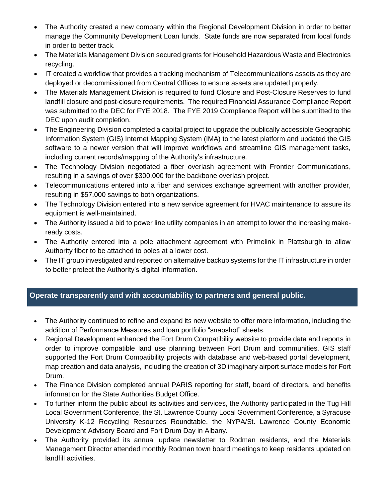- The Authority created a new company within the Regional Development Division in order to better manage the Community Development Loan funds. State funds are now separated from local funds in order to better track.
- The Materials Management Division secured grants for Household Hazardous Waste and Electronics recycling.
- IT created a workflow that provides a tracking mechanism of Telecommunications assets as they are deployed or decommissioned from Central Offices to ensure assets are updated properly.
- The Materials Management Division is required to fund Closure and Post-Closure Reserves to fund landfill closure and post-closure requirements. The required Financial Assurance Compliance Report was submitted to the DEC for FYE 2018. The FYE 2019 Compliance Report will be submitted to the DEC upon audit completion.
- The Engineering Division completed a capital project to upgrade the publically accessible Geographic Information System (GIS) Internet Mapping System (IMA) to the latest platform and updated the GIS software to a newer version that will improve workflows and streamline GIS management tasks, including current records/mapping of the Authority's infrastructure.
- The Technology Division negotiated a fiber overlash agreement with Frontier Communications, resulting in a savings of over \$300,000 for the backbone overlash project.
- Telecommunications entered into a fiber and services exchange agreement with another provider, resulting in \$57,000 savings to both organizations.
- The Technology Division entered into a new service agreement for HVAC maintenance to assure its equipment is well-maintained.
- The Authority issued a bid to power line utility companies in an attempt to lower the increasing makeready costs.
- The Authority entered into a pole attachment agreement with Primelink in Plattsburgh to allow Authority fiber to be attached to poles at a lower cost.
- The IT group investigated and reported on alternative backup systems for the IT infrastructure in order to better protect the Authority's digital information.

#### **Operate transparently and with accountability to partners and general public.**

- The Authority continued to refine and expand its new website to offer more information, including the addition of Performance Measures and loan portfolio "snapshot" sheets.
- Regional Development enhanced the Fort Drum Compatibility website to provide data and reports in order to improve compatible land use planning between Fort Drum and communities. GIS staff supported the Fort Drum Compatibility projects with database and web-based portal development, map creation and data analysis, including the creation of 3D imaginary airport surface models for Fort Drum.
- The Finance Division completed annual PARIS reporting for staff, board of directors, and benefits information for the State Authorities Budget Office.
- To further inform the public about its activities and services, the Authority participated in the Tug Hill Local Government Conference, the St. Lawrence County Local Government Conference, a Syracuse University K-12 Recycling Resources Roundtable, the NYPA/St. Lawrence County Economic Development Advisory Board and Fort Drum Day in Albany.
- The Authority provided its annual update newsletter to Rodman residents, and the Materials Management Director attended monthly Rodman town board meetings to keep residents updated on landfill activities.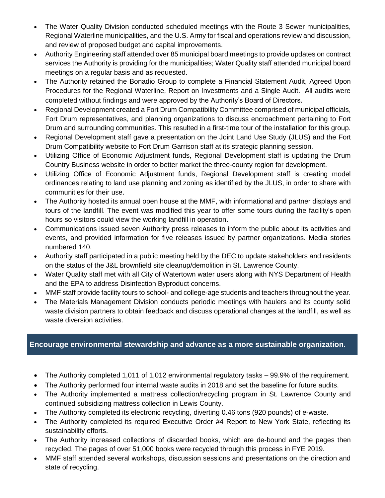- The Water Quality Division conducted scheduled meetings with the Route 3 Sewer municipalities, Regional Waterline municipalities, and the U.S. Army for fiscal and operations review and discussion, and review of proposed budget and capital improvements.
- Authority Engineering staff attended over 85 municipal board meetings to provide updates on contract services the Authority is providing for the municipalities; Water Quality staff attended municipal board meetings on a regular basis and as requested.
- The Authority retained the Bonadio Group to complete a Financial Statement Audit, Agreed Upon Procedures for the Regional Waterline, Report on Investments and a Single Audit. All audits were completed without findings and were approved by the Authority's Board of Directors.
- Regional Development created a Fort Drum Compatibility Committee comprised of municipal officials, Fort Drum representatives, and planning organizations to discuss encroachment pertaining to Fort Drum and surrounding communities. This resulted in a first-time tour of the installation for this group.
- Regional Development staff gave a presentation on the Joint Land Use Study (JLUS) and the Fort Drum Compatibility website to Fort Drum Garrison staff at its strategic planning session.
- Utilizing Office of Economic Adjustment funds, Regional Development staff is updating the Drum Country Business website in order to better market the three-county region for development.
- Utilizing Office of Economic Adjustment funds, Regional Development staff is creating model ordinances relating to land use planning and zoning as identified by the JLUS, in order to share with communities for their use.
- The Authority hosted its annual open house at the MMF, with informational and partner displays and tours of the landfill. The event was modified this year to offer some tours during the facility's open hours so visitors could view the working landfill in operation.
- Communications issued seven Authority press releases to inform the public about its activities and events, and provided information for five releases issued by partner organizations. Media stories numbered 140.
- Authority staff participated in a public meeting held by the DEC to update stakeholders and residents on the status of the J&L brownfield site cleanup/demolition in St. Lawrence County.
- Water Quality staff met with all City of Watertown water users along with NYS Department of Health and the EPA to address Disinfection Byproduct concerns.
- MMF staff provide facility tours to school- and college-age students and teachers throughout the year.
- The Materials Management Division conducts periodic meetings with haulers and its county solid waste division partners to obtain feedback and discuss operational changes at the landfill, as well as waste diversion activities.

#### **P Encourage environmental stewardship and advance as a more sustainable organization.**

- The Authority completed 1,011 of 1,012 environmental regulatory tasks 99.9% of the requirement.
- The Authority performed four internal waste audits in 2018 and set the baseline for future audits.
- The Authority implemented a mattress collection/recycling program in St. Lawrence County and continued subsidizing mattress collection in Lewis County.
- The Authority completed its electronic recycling, diverting 0.46 tons (920 pounds) of e-waste.
- The Authority completed its required Executive Order #4 Report to New York State, reflecting its sustainability efforts.
- The Authority increased collections of discarded books, which are de-bound and the pages then recycled. The pages of over 51,000 books were recycled through this process in FYE 2019.
- MMF staff attended several workshops, discussion sessions and presentations on the direction and state of recycling.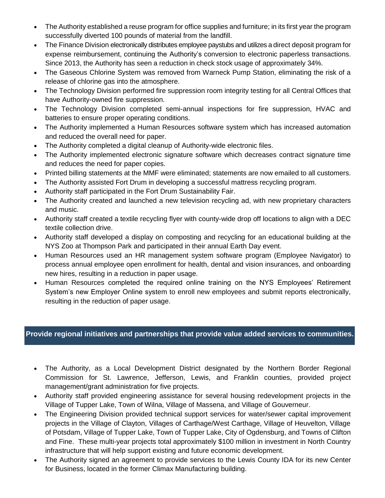- The Authority established a reuse program for office supplies and furniture; in its first year the program successfully diverted 100 pounds of material from the landfill.
- The Finance Division electronically distributes employee paystubs and utilizes a direct deposit program for expense reimbursement, continuing the Authority's conversion to electronic paperless transactions. Since 2013, the Authority has seen a reduction in check stock usage of approximately 34%.
- The Gaseous Chlorine System was removed from Warneck Pump Station, eliminating the risk of a release of chlorine gas into the atmosphere.
- The Technology Division performed fire suppression room integrity testing for all Central Offices that have Authority-owned fire suppression.
- The Technology Division completed semi-annual inspections for fire suppression, HVAC and batteries to ensure proper operating conditions.
- The Authority implemented a Human Resources software system which has increased automation and reduced the overall need for paper.
- The Authority completed a digital cleanup of Authority-wide electronic files.
- The Authority implemented electronic signature software which decreases contract signature time and reduces the need for paper copies.
- Printed billing statements at the MMF were eliminated; statements are now emailed to all customers.
- The Authority assisted Fort Drum in developing a successful mattress recycling program.
- Authority staff participated in the Fort Drum Sustainability Fair.
- The Authority created and launched a new television recycling ad, with new proprietary characters and music.
- Authority staff created a textile recycling flyer with county-wide drop off locations to align with a DEC textile collection drive.
- Authority staff developed a display on composting and recycling for an educational building at the NYS Zoo at Thompson Park and participated in their annual Earth Day event.
- Human Resources used an HR management system software program (Employee Navigator) to process annual employee open enrollment for health, dental and vision insurances, and onboarding new hires, resulting in a reduction in paper usage.
- Human Resources completed the required online training on the NYS Employees' Retirement System's new Employer Online system to enroll new employees and submit reports electronically, resulting in the reduction of paper usage.

#### **P Provide regional initiatives and partnerships that provide value added services to communities.**

- The Authority, as a Local Development District designated by the Northern Border Regional Commission for St. Lawrence, Jefferson, Lewis, and Franklin counties, provided project management/grant administration for five projects.
- Authority staff provided engineering assistance for several housing redevelopment projects in the Village of Tupper Lake, Town of Wilna, Village of Massena, and Village of Gouverneur.
- The Engineering Division provided technical support services for water/sewer capital improvement projects in the Village of Clayton, Villages of Carthage/West Carthage, Village of Heuvelton, Village of Potsdam, Village of Tupper Lake, Town of Tupper Lake, City of Ogdensburg, and Towns of Clifton and Fine. These multi-year projects total approximately \$100 million in investment in North Country infrastructure that will help support existing and future economic development.
- The Authority signed an agreement to provide services to the Lewis County IDA for its new Center for Business, located in the former Climax Manufacturing building.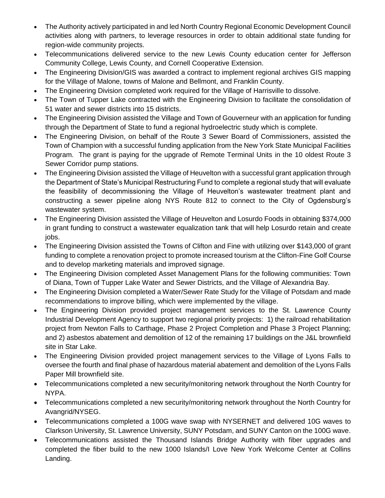- The Authority actively participated in and led North Country Regional Economic Development Council activities along with partners, to leverage resources in order to obtain additional state funding for region-wide community projects.
- Telecommunications delivered service to the new Lewis County education center for Jefferson Community College, Lewis County, and Cornell Cooperative Extension.
- The Engineering Division/GIS was awarded a contract to implement regional archives GIS mapping for the Village of Malone, towns of Malone and Bellmont, and Franklin County.
- The Engineering Division completed work required for the Village of Harrisville to dissolve.
- The Town of Tupper Lake contracted with the Engineering Division to facilitate the consolidation of 51 water and sewer districts into 15 districts.
- The Engineering Division assisted the Village and Town of Gouverneur with an application for funding through the Department of State to fund a regional hydroelectric study which is complete.
- The Engineering Division, on behalf of the Route 3 Sewer Board of Commissioners, assisted the Town of Champion with a successful funding application from the New York State Municipal Facilities Program. The grant is paying for the upgrade of Remote Terminal Units in the 10 oldest Route 3 Sewer Corridor pump stations.
- The Engineering Division assisted the Village of Heuvelton with a successful grant application through the Department of State's Municipal Restructuring Fund to complete a regional study that will evaluate the feasibility of decommissioning the Village of Heuvelton's wastewater treatment plant and constructing a sewer pipeline along NYS Route 812 to connect to the City of Ogdensburg's wastewater system.
- The Engineering Division assisted the Village of Heuvelton and Losurdo Foods in obtaining \$374,000 in grant funding to construct a wastewater equalization tank that will help Losurdo retain and create jobs.
- The Engineering Division assisted the Towns of Clifton and Fine with utilizing over \$143,000 of grant funding to complete a renovation project to promote increased tourism at the Clifton-Fine Golf Course and to develop marketing materials and improved signage.
- The Engineering Division completed Asset Management Plans for the following communities: Town of Diana, Town of Tupper Lake Water and Sewer Districts, and the Village of Alexandria Bay.
- The Engineering Division completed a Water/Sewer Rate Study for the Village of Potsdam and made recommendations to improve billing, which were implemented by the village.
- The Engineering Division provided project management services to the St. Lawrence County Industrial Development Agency to support two regional priority projects: 1) the railroad rehabilitation project from Newton Falls to Carthage, Phase 2 Project Completion and Phase 3 Project Planning; and 2) asbestos abatement and demolition of 12 of the remaining 17 buildings on the J&L brownfield site in Star Lake.
- The Engineering Division provided project management services to the Village of Lyons Falls to oversee the fourth and final phase of hazardous material abatement and demolition of the Lyons Falls Paper Mill brownfield site.
- Telecommunications completed a new security/monitoring network throughout the North Country for NYPA.
- Telecommunications completed a new security/monitoring network throughout the North Country for Avangrid/NYSEG.
- Telecommunications completed a 100G wave swap with NYSERNET and delivered 10G waves to Clarkson University, St. Lawrence University, SUNY Potsdam, and SUNY Canton on the 100G wave.
- Telecommunications assisted the Thousand Islands Bridge Authority with fiber upgrades and completed the fiber build to the new 1000 Islands/I Love New York Welcome Center at Collins Landing.